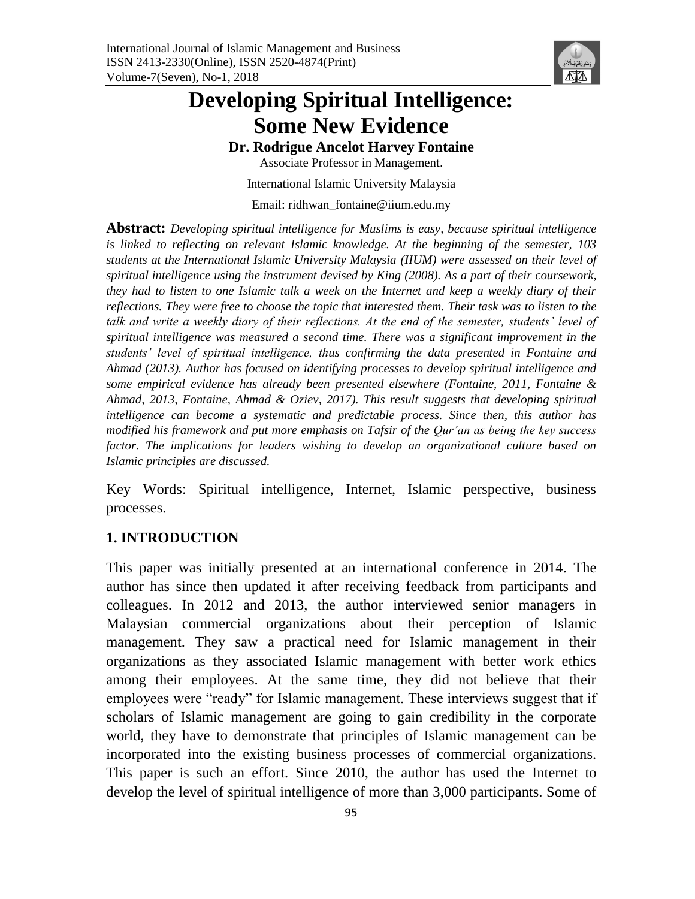

# **Developing Spiritual Intelligence: Some New Evidence**

**Dr. Rodrigue Ancelot Harvey Fontaine** Associate Professor in Management.

International Islamic University Malaysia

Email: ridhwan\_fontaine@iium.edu.my

**Abstract:** *Developing spiritual intelligence for Muslims is easy, because spiritual intelligence is linked to reflecting on relevant Islamic knowledge. At the beginning of the semester, 103 students at the International Islamic University Malaysia (IIUM) were assessed on their level of spiritual intelligence using the instrument devised by King (2008). As a part of their coursework, they had to listen to one Islamic talk a week on the Internet and keep a weekly diary of their reflections. They were free to choose the topic that interested them. Their task was to listen to the talk and write a weekly diary of their reflections. At the end of the semester, students' level of spiritual intelligence was measured a second time. There was a significant improvement in the students' level of spiritual intelligence, thus confirming the data presented in Fontaine and Ahmad (2013). Author has focused on identifying processes to develop spiritual intelligence and some empirical evidence has already been presented elsewhere (Fontaine, 2011, Fontaine & Ahmad, 2013, Fontaine, Ahmad & Oziev, 2017). This result suggests that developing spiritual intelligence can become a systematic and predictable process. Since then, this author has modified his framework and put more emphasis on Tafsir of the Qur'an as being the key success factor. The implications for leaders wishing to develop an organizational culture based on Islamic principles are discussed.*

Key Words: Spiritual intelligence, Internet, Islamic perspective, business processes.

#### **1. INTRODUCTION**

This paper was initially presented at an international conference in 2014. The author has since then updated it after receiving feedback from participants and colleagues. In 2012 and 2013, the author interviewed senior managers in Malaysian commercial organizations about their perception of Islamic management. They saw a practical need for Islamic management in their organizations as they associated Islamic management with better work ethics among their employees. At the same time, they did not believe that their employees were "ready" for Islamic management. These interviews suggest that if scholars of Islamic management are going to gain credibility in the corporate world, they have to demonstrate that principles of Islamic management can be incorporated into the existing business processes of commercial organizations. This paper is such an effort. Since 2010, the author has used the Internet to develop the level of spiritual intelligence of more than 3,000 participants. Some of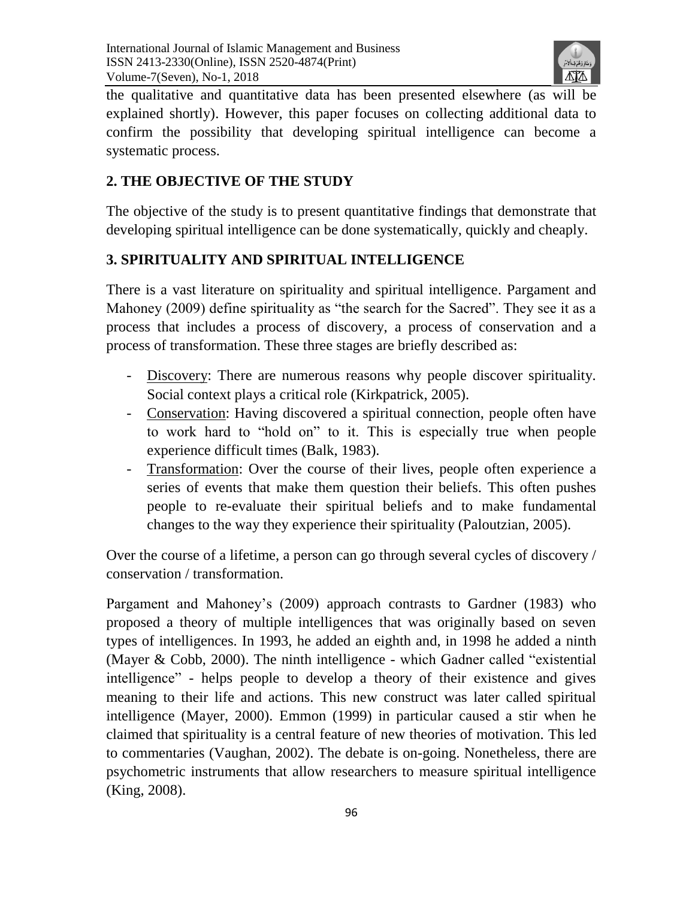

the qualitative and quantitative data has been presented elsewhere (as will be explained shortly). However, this paper focuses on collecting additional data to confirm the possibility that developing spiritual intelligence can become a systematic process.

# **2. THE OBJECTIVE OF THE STUDY**

The objective of the study is to present quantitative findings that demonstrate that developing spiritual intelligence can be done systematically, quickly and cheaply.

# **3. SPIRITUALITY AND SPIRITUAL INTELLIGENCE**

There is a vast literature on spirituality and spiritual intelligence. Pargament and Mahoney (2009) define spirituality as "the search for the Sacred". They see it as a process that includes a process of discovery, a process of conservation and a process of transformation. These three stages are briefly described as:

- Discovery: There are numerous reasons why people discover spirituality. Social context plays a critical role (Kirkpatrick, 2005).
- Conservation: Having discovered a spiritual connection, people often have to work hard to "hold on" to it. This is especially true when people experience difficult times (Balk, 1983).
- Transformation: Over the course of their lives, people often experience a series of events that make them question their beliefs. This often pushes people to re-evaluate their spiritual beliefs and to make fundamental changes to the way they experience their spirituality (Paloutzian, 2005).

Over the course of a lifetime, a person can go through several cycles of discovery / conservation / transformation.

Pargament and Mahoney's (2009) approach contrasts to Gardner (1983) who proposed a theory of multiple intelligences that was originally based on seven types of intelligences. In 1993, he added an eighth and, in 1998 he added a ninth (Mayer & Cobb, 2000). The ninth intelligence - which Gadner called "existential intelligence" - helps people to develop a theory of their existence and gives meaning to their life and actions. This new construct was later called spiritual intelligence (Mayer, 2000). Emmon (1999) in particular caused a stir when he claimed that spirituality is a central feature of new theories of motivation. This led to commentaries (Vaughan, 2002). The debate is on-going. Nonetheless, there are psychometric instruments that allow researchers to measure spiritual intelligence (King, 2008).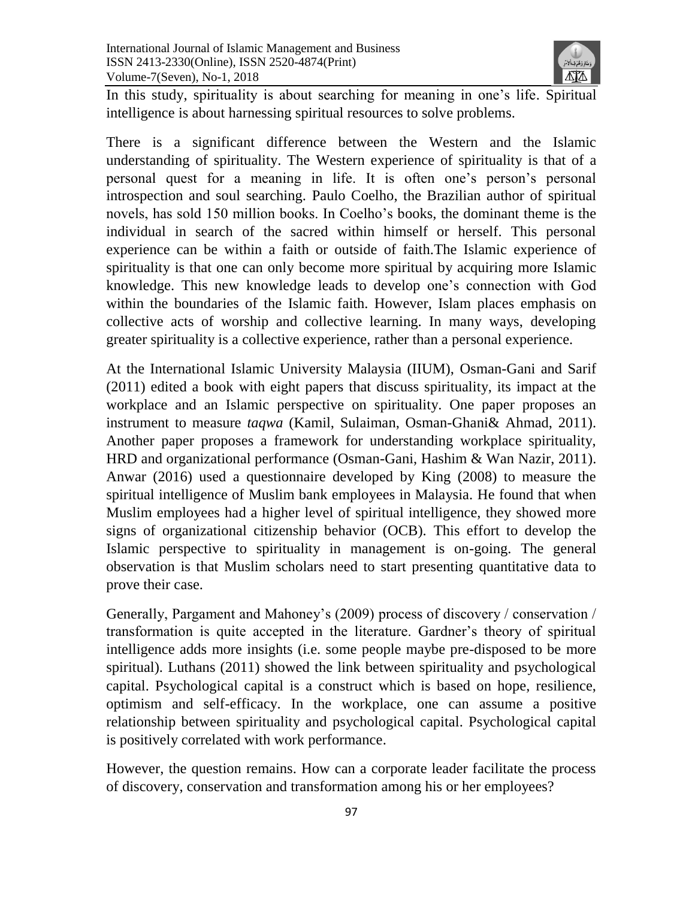

In this study, spirituality is about searching for meaning in one's life. Spiritual intelligence is about harnessing spiritual resources to solve problems.

There is a significant difference between the Western and the Islamic understanding of spirituality. The Western experience of spirituality is that of a personal quest for a meaning in life. It is often one's person's personal introspection and soul searching. Paulo Coelho, the Brazilian author of spiritual novels, has sold 150 million books. In Coelho's books, the dominant theme is the individual in search of the sacred within himself or herself. This personal experience can be within a faith or outside of faith.The Islamic experience of spirituality is that one can only become more spiritual by acquiring more Islamic knowledge. This new knowledge leads to develop one's connection with God within the boundaries of the Islamic faith. However, Islam places emphasis on collective acts of worship and collective learning. In many ways, developing greater spirituality is a collective experience, rather than a personal experience.

At the International Islamic University Malaysia (IIUM), Osman-Gani and Sarif (2011) edited a book with eight papers that discuss spirituality, its impact at the workplace and an Islamic perspective on spirituality. One paper proposes an instrument to measure *taqwa* (Kamil, Sulaiman, Osman-Ghani& Ahmad, 2011). Another paper proposes a framework for understanding workplace spirituality, HRD and organizational performance (Osman-Gani, Hashim & Wan Nazir, 2011). Anwar (2016) used a questionnaire developed by King (2008) to measure the spiritual intelligence of Muslim bank employees in Malaysia. He found that when Muslim employees had a higher level of spiritual intelligence, they showed more signs of organizational citizenship behavior (OCB). This effort to develop the Islamic perspective to spirituality in management is on-going. The general observation is that Muslim scholars need to start presenting quantitative data to prove their case.

Generally, Pargament and Mahoney's (2009) process of discovery / conservation / transformation is quite accepted in the literature. Gardner's theory of spiritual intelligence adds more insights (i.e. some people maybe pre-disposed to be more spiritual). Luthans (2011) showed the link between spirituality and psychological capital. Psychological capital is a construct which is based on hope, resilience, optimism and self-efficacy. In the workplace, one can assume a positive relationship between spirituality and psychological capital. Psychological capital is positively correlated with work performance.

However, the question remains. How can a corporate leader facilitate the process of discovery, conservation and transformation among his or her employees?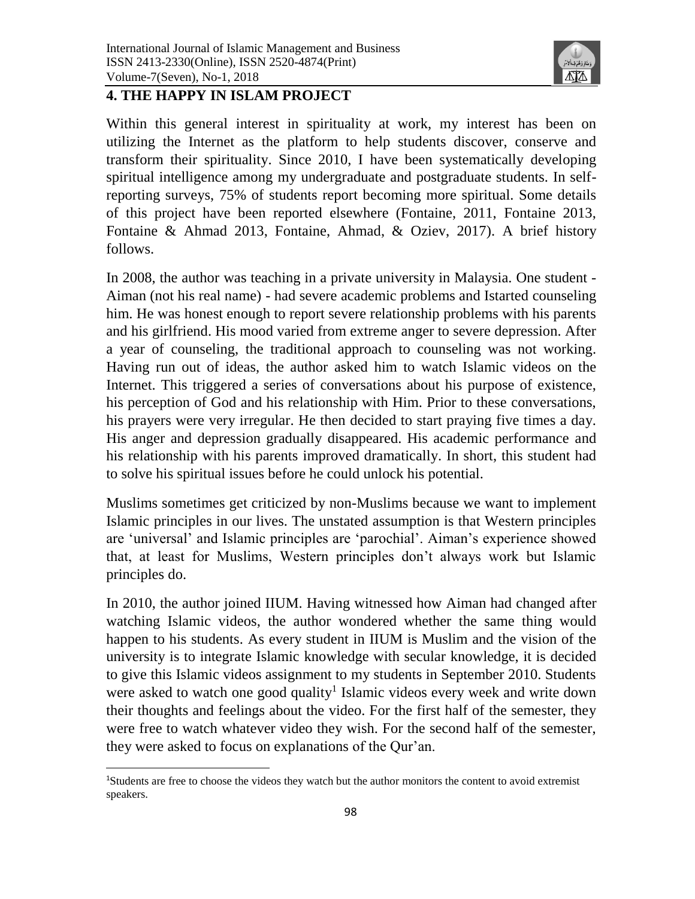

# **4. THE HAPPY IN ISLAM PROJECT**

Within this general interest in spirituality at work, my interest has been on utilizing the Internet as the platform to help students discover, conserve and transform their spirituality. Since 2010, I have been systematically developing spiritual intelligence among my undergraduate and postgraduate students. In selfreporting surveys, 75% of students report becoming more spiritual. Some details of this project have been reported elsewhere (Fontaine, 2011, Fontaine 2013, Fontaine & Ahmad 2013, Fontaine, Ahmad, & Oziev, 2017). A brief history follows.

In 2008, the author was teaching in a private university in Malaysia. One student - Aiman (not his real name) - had severe academic problems and Istarted counseling him. He was honest enough to report severe relationship problems with his parents and his girlfriend. His mood varied from extreme anger to severe depression. After a year of counseling, the traditional approach to counseling was not working. Having run out of ideas, the author asked him to watch Islamic videos on the Internet. This triggered a series of conversations about his purpose of existence, his perception of God and his relationship with Him. Prior to these conversations, his prayers were very irregular. He then decided to start praying five times a day. His anger and depression gradually disappeared. His academic performance and his relationship with his parents improved dramatically. In short, this student had to solve his spiritual issues before he could unlock his potential.

Muslims sometimes get criticized by non-Muslims because we want to implement Islamic principles in our lives. The unstated assumption is that Western principles are 'universal' and Islamic principles are 'parochial'. Aiman's experience showed that, at least for Muslims, Western principles don't always work but Islamic principles do.

In 2010, the author joined IIUM. Having witnessed how Aiman had changed after watching Islamic videos, the author wondered whether the same thing would happen to his students. As every student in IIUM is Muslim and the vision of the university is to integrate Islamic knowledge with secular knowledge, it is decided to give this Islamic videos assignment to my students in September 2010. Students were asked to watch one good quality<sup>1</sup> Islamic videos every week and write down their thoughts and feelings about the video. For the first half of the semester, they were free to watch whatever video they wish. For the second half of the semester, they were asked to focus on explanations of the Qur'an.

 $\overline{a}$ 

<sup>1</sup>Students are free to choose the videos they watch but the author monitors the content to avoid extremist speakers.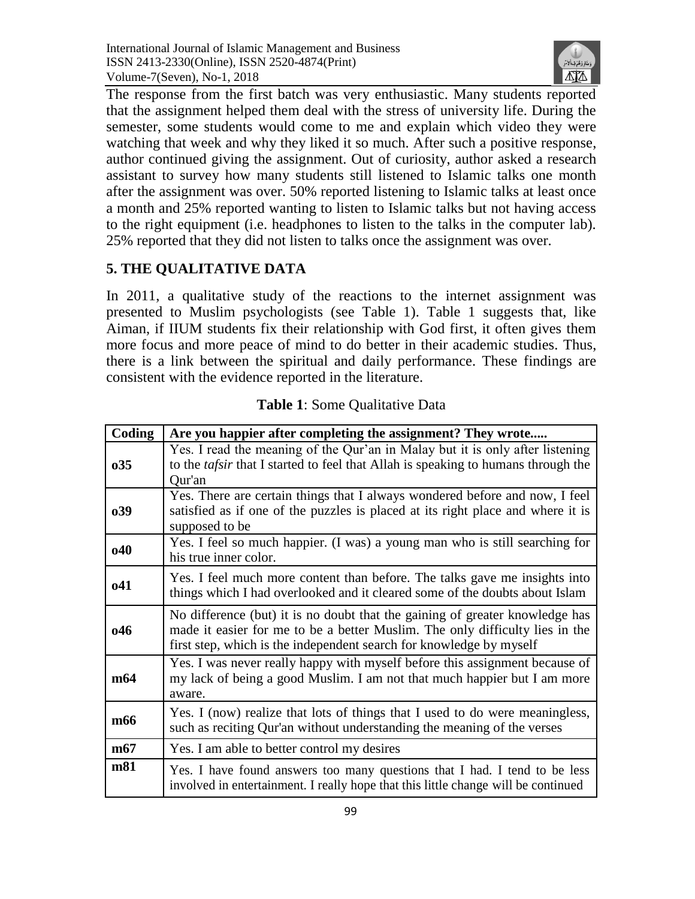

The response from the first batch was very enthusiastic. Many students reported that the assignment helped them deal with the stress of university life. During the semester, some students would come to me and explain which video they were watching that week and why they liked it so much. After such a positive response, author continued giving the assignment. Out of curiosity, author asked a research assistant to survey how many students still listened to Islamic talks one month after the assignment was over. 50% reported listening to Islamic talks at least once a month and 25% reported wanting to listen to Islamic talks but not having access to the right equipment (i.e. headphones to listen to the talks in the computer lab). 25% reported that they did not listen to talks once the assignment was over.

# **5. THE QUALITATIVE DATA**

In 2011, a qualitative study of the reactions to the internet assignment was presented to Muslim psychologists (see Table 1). Table 1 suggests that, like Aiman, if IIUM students fix their relationship with God first, it often gives them more focus and more peace of mind to do better in their academic studies. Thus, there is a link between the spiritual and daily performance. These findings are consistent with the evidence reported in the literature.

| Coding          | Are you happier after completing the assignment? They wrote                                                                                                                                                                         |  |  |  |
|-----------------|-------------------------------------------------------------------------------------------------------------------------------------------------------------------------------------------------------------------------------------|--|--|--|
| 035             | Yes. I read the meaning of the Qur'an in Malay but it is only after listening<br>to the <i>tafsir</i> that I started to feel that Allah is speaking to humans through the<br>Qur'an                                                 |  |  |  |
| 039             | Yes. There are certain things that I always wondered before and now, I feel<br>satisfied as if one of the puzzles is placed at its right place and where it is<br>supposed to be                                                    |  |  |  |
| <b>o40</b>      | Yes. I feel so much happier. (I was) a young man who is still searching for<br>his true inner color.                                                                                                                                |  |  |  |
| <b>o41</b>      | Yes. I feel much more content than before. The talks gave me insights into<br>things which I had overlooked and it cleared some of the doubts about Islam                                                                           |  |  |  |
| 046             | No difference (but) it is no doubt that the gaining of greater knowledge has<br>made it easier for me to be a better Muslim. The only difficulty lies in the<br>first step, which is the independent search for knowledge by myself |  |  |  |
| m <sub>64</sub> | Yes. I was never really happy with myself before this assignment because of<br>my lack of being a good Muslim. I am not that much happier but I am more<br>aware.                                                                   |  |  |  |
| m66             | Yes. I (now) realize that lots of things that I used to do were meaningless,<br>such as reciting Qur'an without understanding the meaning of the verses                                                                             |  |  |  |
| m67             | Yes. I am able to better control my desires                                                                                                                                                                                         |  |  |  |
| m81             | Yes. I have found answers too many questions that I had. I tend to be less<br>involved in entertainment. I really hope that this little change will be continued                                                                    |  |  |  |

|  | <b>Table 1:</b> Some Qualitative Data |
|--|---------------------------------------|
|--|---------------------------------------|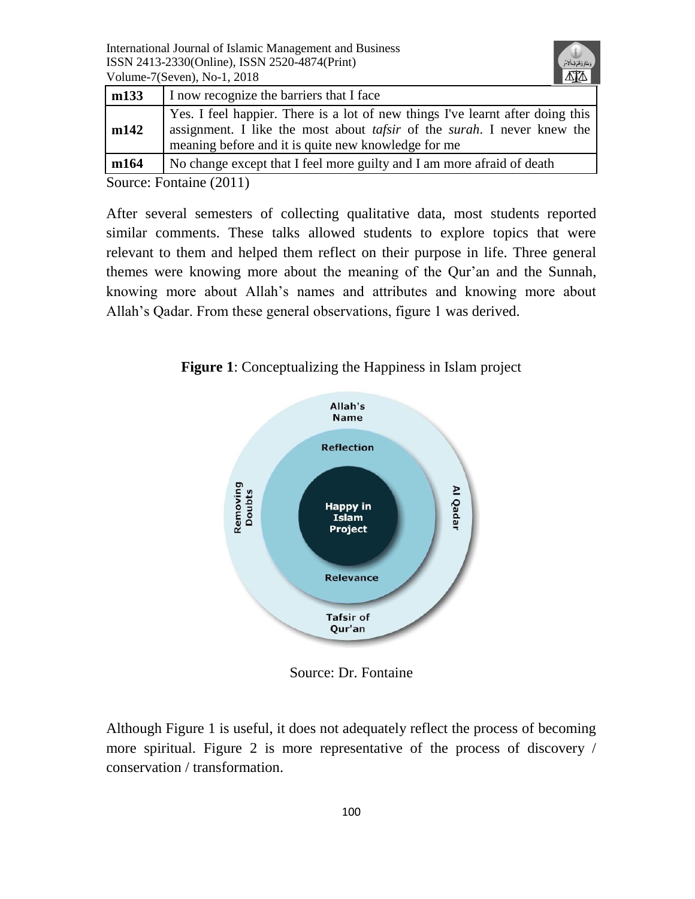International Journal of Islamic Management and Business ISSN 2413-2330(Online), ISSN 2520-4874(Print) Volume-7(Seven), No-1, 2018



| m133 | I now recognize the barriers that I face                                                                                                                                                                                        |  |  |
|------|---------------------------------------------------------------------------------------------------------------------------------------------------------------------------------------------------------------------------------|--|--|
| m142 | Yes. I feel happier. There is a lot of new things I've learnt after doing this<br>assignment. I like the most about <i>tafsir</i> of the <i>surah</i> . I never knew the<br>meaning before and it is quite new knowledge for me |  |  |
| m164 | No change except that I feel more guilty and I am more afraid of death                                                                                                                                                          |  |  |

Source: Fontaine (2011)

After several semesters of collecting qualitative data, most students reported similar comments. These talks allowed students to explore topics that were relevant to them and helped them reflect on their purpose in life. Three general themes were knowing more about the meaning of the Qur'an and the Sunnah, knowing more about Allah's names and attributes and knowing more about Allah's Qadar. From these general observations, figure 1 was derived.

**Figure 1**: Conceptualizing the Happiness in Islam project



Source: Dr. Fontaine

Although Figure 1 is useful, it does not adequately reflect the process of becoming more spiritual. Figure 2 is more representative of the process of discovery / conservation / transformation.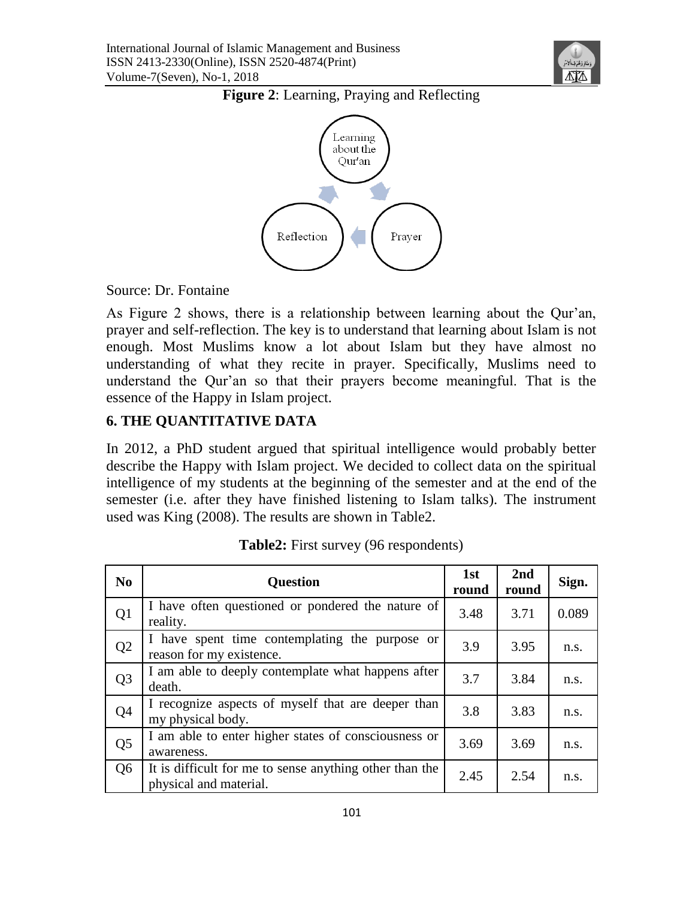

# **Figure 2**: Learning, Praying and Reflecting



#### Source: Dr. Fontaine

As Figure 2 shows, there is a relationship between learning about the Qur'an, prayer and self-reflection. The key is to understand that learning about Islam is not enough. Most Muslims know a lot about Islam but they have almost no understanding of what they recite in prayer. Specifically, Muslims need to understand the Qur'an so that their prayers become meaningful. That is the essence of the Happy in Islam project.

# **6. THE QUANTITATIVE DATA**

In 2012, a PhD student argued that spiritual intelligence would probably better describe the Happy with Islam project. We decided to collect data on the spiritual intelligence of my students at the beginning of the semester and at the end of the semester (i.e. after they have finished listening to Islam talks). The instrument used was King (2008). The results are shown in Table2.

| N <sub>0</sub> | <b>Question</b>                                                                   | 1st<br>round | 2nd<br>round | Sign. |
|----------------|-----------------------------------------------------------------------------------|--------------|--------------|-------|
| Q <sub>1</sub> | I have often questioned or pondered the nature of<br>reality.                     | 3.48         | 3.71         | 0.089 |
| Q2             | I have spent time contemplating the purpose or<br>reason for my existence.        | 3.9          | 3.95         | n.s.  |
| Q <sub>3</sub> | I am able to deeply contemplate what happens after<br>death.                      | 3.7          | 3.84         | n.s.  |
| Q4             | I recognize aspects of myself that are deeper than<br>my physical body.           | 3.8          | 3.83         | n.s.  |
| Q <sub>5</sub> | I am able to enter higher states of consciousness or<br>awareness.                | 3.69         | 3.69         | n.s.  |
| Q <sub>6</sub> | It is difficult for me to sense anything other than the<br>physical and material. | 2.45         | 2.54         | n.s.  |

**Table2:** First survey (96 respondents)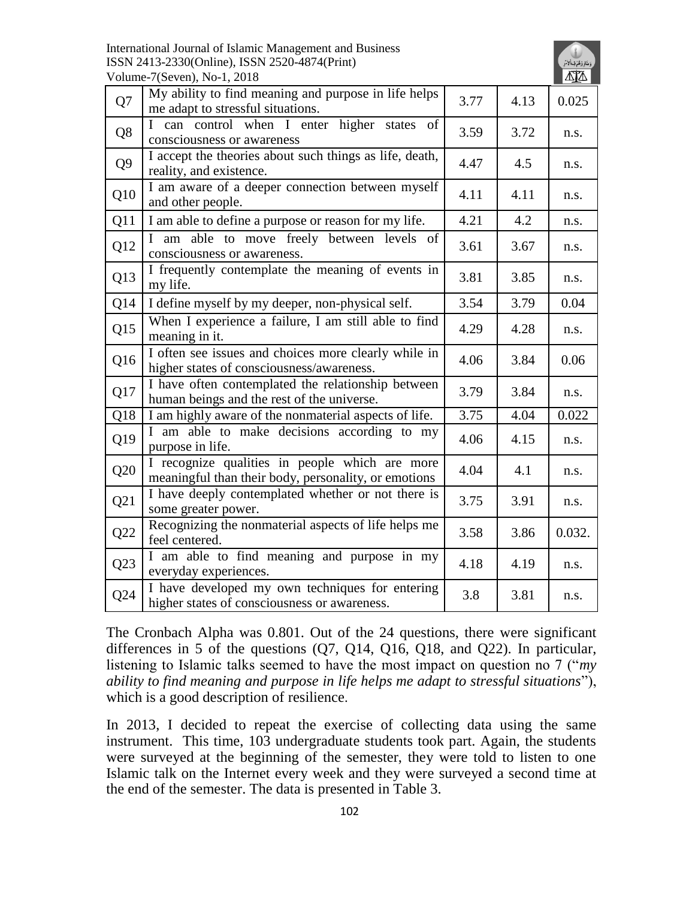#### International Journal of Islamic Management and Business ISSN 2413-2330(Online), ISSN 2520-4874(Print) Volume-7(Seven), No-1, 2018



|                | v URINC-7 (DUVUH), 190-1, 2010                                                                         |      |      | $\overline{\phantom{a}}$ |
|----------------|--------------------------------------------------------------------------------------------------------|------|------|--------------------------|
| Q7             | My ability to find meaning and purpose in life helps<br>me adapt to stressful situations.              | 3.77 | 4.13 | 0.025                    |
| Q8             | I can control when I enter higher states<br>of<br>consciousness or awareness                           | 3.59 | 3.72 | n.s.                     |
| Q <sub>9</sub> | I accept the theories about such things as life, death,<br>reality, and existence.                     | 4.47 | 4.5  | n.s.                     |
| Q10            | I am aware of a deeper connection between myself<br>and other people.                                  | 4.11 | 4.11 | n.s.                     |
| Q11            | I am able to define a purpose or reason for my life.                                                   | 4.21 | 4.2  | n.s.                     |
| Q12            | I am able to move freely between levels of<br>consciousness or awareness.                              | 3.61 | 3.67 | n.s.                     |
| Q13            | I frequently contemplate the meaning of events in<br>my life.                                          | 3.81 | 3.85 | n.s.                     |
| Q14            | I define myself by my deeper, non-physical self.                                                       | 3.54 | 3.79 | 0.04                     |
| Q15            | When I experience a failure, I am still able to find<br>meaning in it.                                 | 4.29 | 4.28 | n.s.                     |
| Q16            | I often see issues and choices more clearly while in<br>higher states of consciousness/awareness.      | 4.06 | 3.84 | 0.06                     |
| Q17            | I have often contemplated the relationship between<br>human beings and the rest of the universe.       | 3.79 | 3.84 | n.s.                     |
| Q18            | I am highly aware of the nonmaterial aspects of life.                                                  | 3.75 | 4.04 | 0.022                    |
| Q19            | I am able to make decisions according to my<br>purpose in life.                                        | 4.06 | 4.15 | n.s.                     |
| Q20            | I recognize qualities in people which are more<br>meaningful than their body, personality, or emotions | 4.04 | 4.1  | n.s.                     |
| Q21            | I have deeply contemplated whether or not there is<br>some greater power.                              | 3.75 | 3.91 | n.s.                     |
| Q22            | Recognizing the nonmaterial aspects of life helps me<br>feel centered.                                 | 3.58 | 3.86 | 0.032.                   |
| Q23            | I am able to find meaning and purpose in my<br>everyday experiences.                                   | 4.18 | 4.19 | n.s.                     |
| Q24            | I have developed my own techniques for entering<br>higher states of consciousness or awareness.        | 3.8  | 3.81 | n.s.                     |

The Cronbach Alpha was 0.801. Out of the 24 questions, there were significant differences in 5 of the questions (Q7, Q14, Q16, Q18, and Q22). In particular, listening to Islamic talks seemed to have the most impact on question no 7 ("*my ability to find meaning and purpose in life helps me adapt to stressful situations*"), which is a good description of resilience.

In 2013, I decided to repeat the exercise of collecting data using the same instrument. This time, 103 undergraduate students took part. Again, the students were surveyed at the beginning of the semester, they were told to listen to one Islamic talk on the Internet every week and they were surveyed a second time at the end of the semester. The data is presented in Table 3.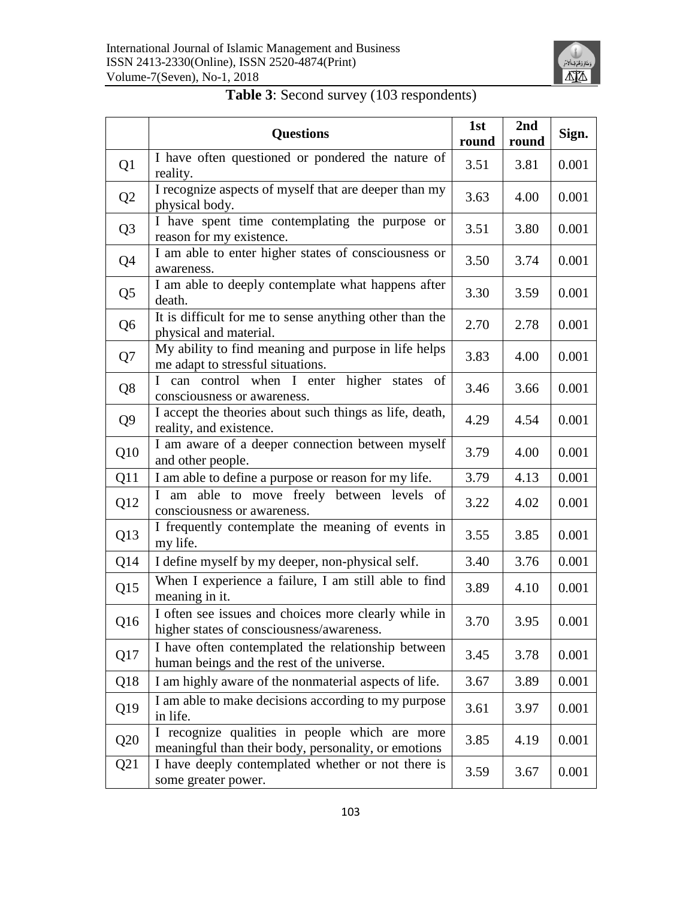

# **Table 3**: Second survey (103 respondents)

|                 | <b>Questions</b>                                                                                       | 1st<br>round | 2 <sub>nd</sub><br>round | Sign. |
|-----------------|--------------------------------------------------------------------------------------------------------|--------------|--------------------------|-------|
| Q <sub>1</sub>  | I have often questioned or pondered the nature of<br>reality.                                          | 3.51         | 3.81                     | 0.001 |
| Q2              | I recognize aspects of myself that are deeper than my<br>physical body.                                | 3.63         | 4.00                     | 0.001 |
| Q <sub>3</sub>  | I have spent time contemplating the purpose or<br>reason for my existence.                             | 3.51         | 3.80                     | 0.001 |
| Q <sub>4</sub>  | I am able to enter higher states of consciousness or<br>awareness.                                     | 3.50         | 3.74                     | 0.001 |
| Q <sub>5</sub>  | I am able to deeply contemplate what happens after<br>death.                                           | 3.30         | 3.59                     | 0.001 |
| Q <sub>6</sub>  | It is difficult for me to sense anything other than the<br>physical and material.                      | 2.70         | 2.78                     | 0.001 |
| Q7              | My ability to find meaning and purpose in life helps<br>me adapt to stressful situations.              | 3.83         | 4.00                     | 0.001 |
| Q <sub>8</sub>  | I can control when I enter higher states<br>of<br>consciousness or awareness.                          | 3.46         | 3.66                     | 0.001 |
| Q <sub>9</sub>  | I accept the theories about such things as life, death,<br>reality, and existence.                     | 4.29         | 4.54                     | 0.001 |
| Q10             | I am aware of a deeper connection between myself<br>and other people.                                  | 3.79         | 4.00                     | 0.001 |
| Q11             | I am able to define a purpose or reason for my life.                                                   | 3.79         | 4.13                     | 0.001 |
| Q12             | I am able to move freely between levels of<br>consciousness or awareness.                              | 3.22         | 4.02                     | 0.001 |
| Q13             | I frequently contemplate the meaning of events in<br>my life.                                          | 3.55         | 3.85                     | 0.001 |
| Q14             | I define myself by my deeper, non-physical self.                                                       | 3.40         | 3.76                     | 0.001 |
| Q15             | When I experience a failure, I am still able to find<br>meaning in it.                                 | 3.89         | 4.10                     | 0.001 |
| Q <sub>16</sub> | I often see issues and choices more clearly while in<br>higher states of consciousness/awareness.      | 3.70         | 3.95                     | 0.001 |
| Q17             | I have often contemplated the relationship between<br>human beings and the rest of the universe.       | 3.45         | 3.78                     | 0.001 |
| Q18             | I am highly aware of the nonmaterial aspects of life.                                                  | 3.67         | 3.89                     | 0.001 |
| Q19             | I am able to make decisions according to my purpose<br>in life.                                        | 3.61         | 3.97                     | 0.001 |
| Q20             | I recognize qualities in people which are more<br>meaningful than their body, personality, or emotions | 3.85         | 4.19                     | 0.001 |
| Q21             | I have deeply contemplated whether or not there is<br>some greater power.                              | 3.59         | 3.67                     | 0.001 |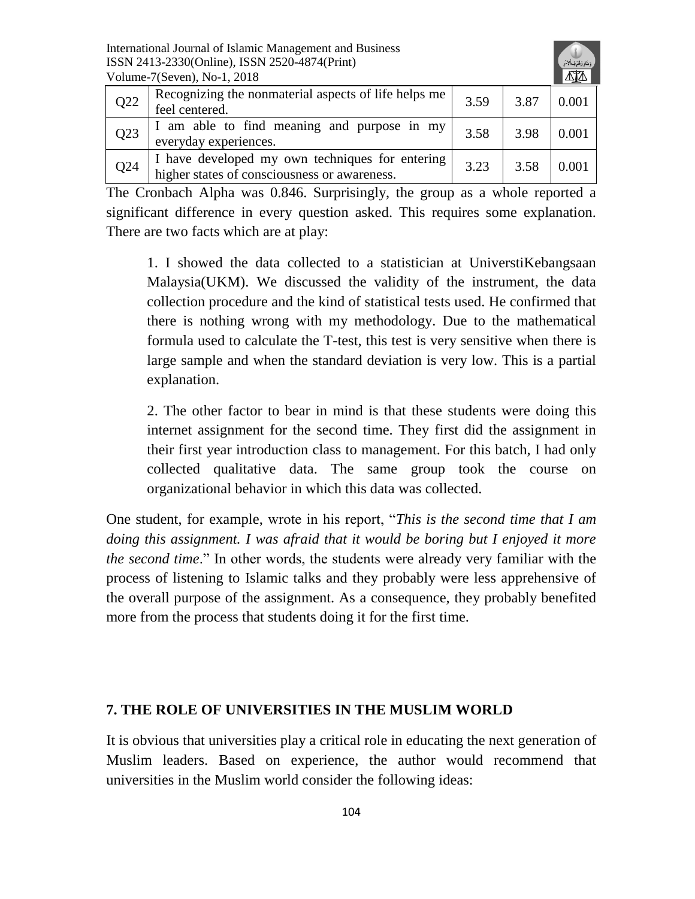

| Q22 | Recognizing the nonmaterial aspects of life helps me<br>feel centered.                          | 3.59 | 3.87 | 0.001 |
|-----|-------------------------------------------------------------------------------------------------|------|------|-------|
| Q23 | I am able to find meaning and purpose in my<br>everyday experiences.                            | 3.58 | 3.98 | 0.001 |
| Q24 | I have developed my own techniques for entering<br>higher states of consciousness or awareness. | 3.23 | 3.58 | 0.001 |

The Cronbach Alpha was 0.846. Surprisingly, the group as a whole reported a significant difference in every question asked. This requires some explanation. There are two facts which are at play:

1. I showed the data collected to a statistician at UniverstiKebangsaan Malaysia(UKM). We discussed the validity of the instrument, the data collection procedure and the kind of statistical tests used. He confirmed that there is nothing wrong with my methodology. Due to the mathematical formula used to calculate the T-test, this test is very sensitive when there is large sample and when the standard deviation is very low. This is a partial explanation.

2. The other factor to bear in mind is that these students were doing this internet assignment for the second time. They first did the assignment in their first year introduction class to management. For this batch, I had only collected qualitative data. The same group took the course on organizational behavior in which this data was collected.

One student, for example, wrote in his report, "*This is the second time that I am doing this assignment. I was afraid that it would be boring but I enjoyed it more the second time*." In other words, the students were already very familiar with the process of listening to Islamic talks and they probably were less apprehensive of the overall purpose of the assignment. As a consequence, they probably benefited more from the process that students doing it for the first time.

# **7. THE ROLE OF UNIVERSITIES IN THE MUSLIM WORLD**

It is obvious that universities play a critical role in educating the next generation of Muslim leaders. Based on experience, the author would recommend that universities in the Muslim world consider the following ideas: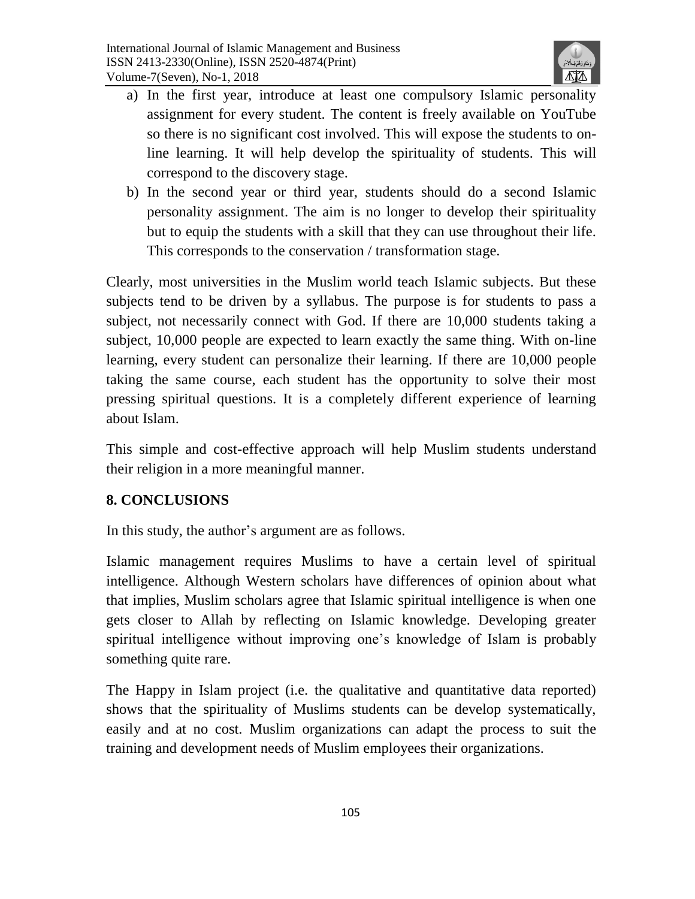

- a) In the first year, introduce at least one compulsory Islamic personality assignment for every student. The content is freely available on YouTube so there is no significant cost involved. This will expose the students to online learning. It will help develop the spirituality of students. This will correspond to the discovery stage.
- b) In the second year or third year, students should do a second Islamic personality assignment. The aim is no longer to develop their spirituality but to equip the students with a skill that they can use throughout their life. This corresponds to the conservation / transformation stage.

Clearly, most universities in the Muslim world teach Islamic subjects. But these subjects tend to be driven by a syllabus. The purpose is for students to pass a subject, not necessarily connect with God. If there are 10,000 students taking a subject, 10,000 people are expected to learn exactly the same thing. With on-line learning, every student can personalize their learning. If there are 10,000 people taking the same course, each student has the opportunity to solve their most pressing spiritual questions. It is a completely different experience of learning about Islam.

This simple and cost-effective approach will help Muslim students understand their religion in a more meaningful manner.

# **8. CONCLUSIONS**

In this study, the author's argument are as follows.

Islamic management requires Muslims to have a certain level of spiritual intelligence. Although Western scholars have differences of opinion about what that implies, Muslim scholars agree that Islamic spiritual intelligence is when one gets closer to Allah by reflecting on Islamic knowledge. Developing greater spiritual intelligence without improving one's knowledge of Islam is probably something quite rare.

The Happy in Islam project (i.e. the qualitative and quantitative data reported) shows that the spirituality of Muslims students can be develop systematically, easily and at no cost. Muslim organizations can adapt the process to suit the training and development needs of Muslim employees their organizations.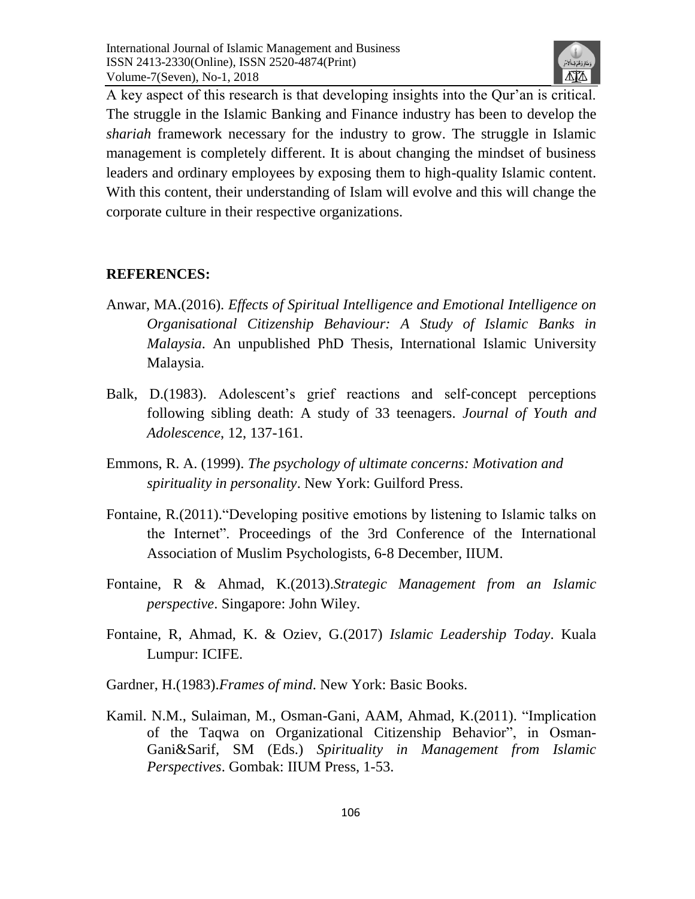

A key aspect of this research is that developing insights into the Qur'an is critical. The struggle in the Islamic Banking and Finance industry has been to develop the *shariah* framework necessary for the industry to grow. The struggle in Islamic management is completely different. It is about changing the mindset of business leaders and ordinary employees by exposing them to high-quality Islamic content. With this content, their understanding of Islam will evolve and this will change the corporate culture in their respective organizations.

### **REFERENCES:**

- Anwar, MA.(2016). *Effects of Spiritual Intelligence and Emotional Intelligence on Organisational Citizenship Behaviour: A Study of Islamic Banks in Malaysia*. An unpublished PhD Thesis, International Islamic University Malaysia.
- Balk, D.(1983). Adolescent's grief reactions and self-concept perceptions following sibling death: A study of 33 teenagers. *Journal of Youth and Adolescence*, 12, 137-161.
- Emmons, R. A. (1999). *The psychology of ultimate concerns: Motivation and spirituality in personality*. New York: Guilford Press.
- Fontaine, R.(2011)."Developing positive emotions by listening to Islamic talks on the Internet". Proceedings of the 3rd Conference of the International Association of Muslim Psychologists, 6-8 December, IIUM.
- Fontaine, R & Ahmad, K.(2013).*Strategic Management from an Islamic perspective*. Singapore: John Wiley.
- Fontaine, R, Ahmad, K. & Oziev, G.(2017) *Islamic Leadership Today*. Kuala Lumpur: ICIFE.
- Gardner, H.(1983).*Frames of mind*. New York: Basic Books.
- Kamil. N.M., Sulaiman, M., Osman-Gani, AAM, Ahmad, K.(2011). "Implication of the Taqwa on Organizational Citizenship Behavior", in Osman-Gani&Sarif, SM (Eds.) *Spirituality in Management from Islamic Perspectives*. Gombak: IIUM Press, 1-53.